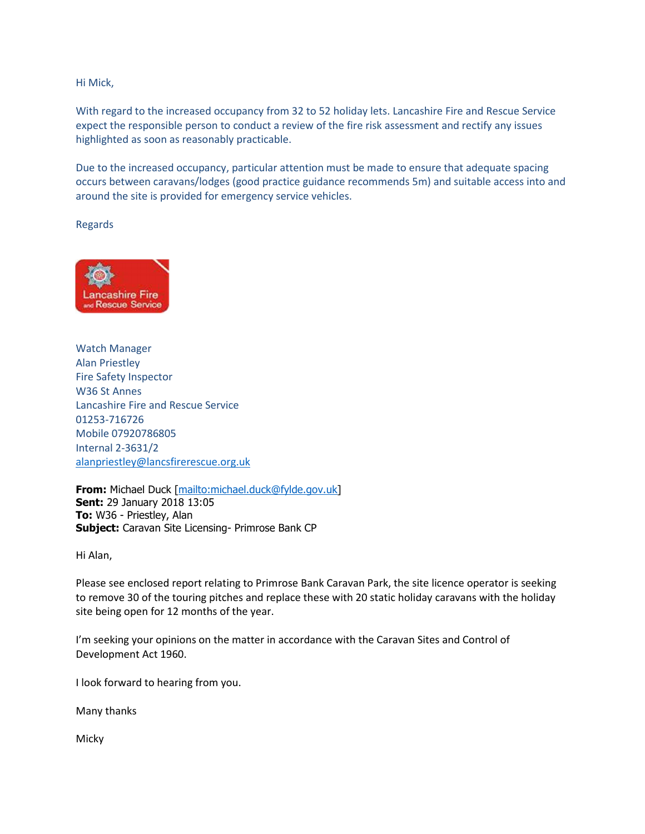Hi Mick,

With regard to the increased occupancy from 32 to 52 holiday lets. Lancashire Fire and Rescue Service expect the responsible person to conduct a review of the fire risk assessment and rectify any issues highlighted as soon as reasonably practicable.

Due to the increased occupancy, particular attention must be made to ensure that adequate spacing occurs between caravans/lodges (good practice guidance recommends 5m) and suitable access into and around the site is provided for emergency service vehicles.

Regards



Watch Manager Alan Priestley Fire Safety Inspector W36 St Annes Lancashire Fire and Rescue Service 01253-716726 Mobile 07920786805 Internal 2-3631/2 [alanpriestley@lancsfirerescue.org.uk](mailto:alanpriestley@lancsfirerescue.org.uk)

**From:** Michael Duck [[mailto:michael.duck@fylde.gov.uk\]](mailto:michael.duck@fylde.gov.uk) **Sent:** 29 January 2018 13:05 **To:** W36 - Priestley, Alan **Subject:** Caravan Site Licensing- Primrose Bank CP

Hi Alan,

Please see enclosed report relating to Primrose Bank Caravan Park, the site licence operator is seeking to remove 30 of the touring pitches and replace these with 20 static holiday caravans with the holiday site being open for 12 months of the year.

I'm seeking your opinions on the matter in accordance with the Caravan Sites and Control of Development Act 1960.

I look forward to hearing from you.

Many thanks

Micky